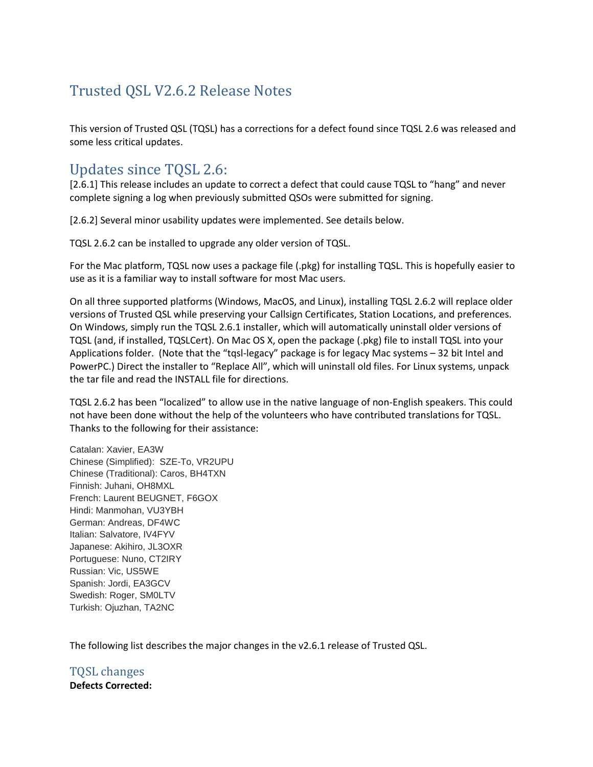# Trusted QSL V2.6.2 Release Notes

This version of Trusted QSL (TQSL) has a corrections for a defect found since TQSL 2.6 was released and some less critical updates.

## Updates since TQSL 2.6:

[2.6.1] This release includes an update to correct a defect that could cause TQSL to "hang" and never complete signing a log when previously submitted QSOs were submitted for signing.

[2.6.2] Several minor usability updates were implemented. See details below.

TQSL 2.6.2 can be installed to upgrade any older version of TQSL.

For the Mac platform, TQSL now uses a package file (.pkg) for installing TQSL. This is hopefully easier to use as it is a familiar way to install software for most Mac users.

On all three supported platforms (Windows, MacOS, and Linux), installing TQSL 2.6.2 will replace older versions of Trusted QSL while preserving your Callsign Certificates, Station Locations, and preferences. On Windows, simply run the TQSL 2.6.1 installer, which will automatically uninstall older versions of TQSL (and, if installed, TQSLCert). On Mac OS X, open the package (.pkg) file to install TQSL into your Applications folder. (Note that the "tqsl-legacy" package is for legacy Mac systems – 32 bit Intel and PowerPC.) Direct the installer to "Replace All", which will uninstall old files. For Linux systems, unpack the tar file and read the INSTALL file for directions.

TQSL 2.6.2 has been "localized" to allow use in the native language of non-English speakers. This could not have been done without the help of the volunteers who have contributed translations for TQSL. Thanks to the following for their assistance:

Catalan: Xavier, EA3W Chinese (Simplified): SZE-To, VR2UPU Chinese (Traditional): Caros, BH4TXN Finnish: Juhani, OH8MXL French: Laurent BEUGNET, F6GOX Hindi: Manmohan, VU3YBH German: Andreas, DF4WC Italian: Salvatore, IV4FYV Japanese: Akihiro, JL3OXR Portuguese: Nuno, CT2IRY Russian: Vic, US5WE Spanish: Jordi, EA3GCV Swedish: Roger, SM0LTV Turkish: Ojuzhan, TA2NC

The following list describes the major changes in the v2.6.1 release of Trusted QSL.

TQSL changes **Defects Corrected:**